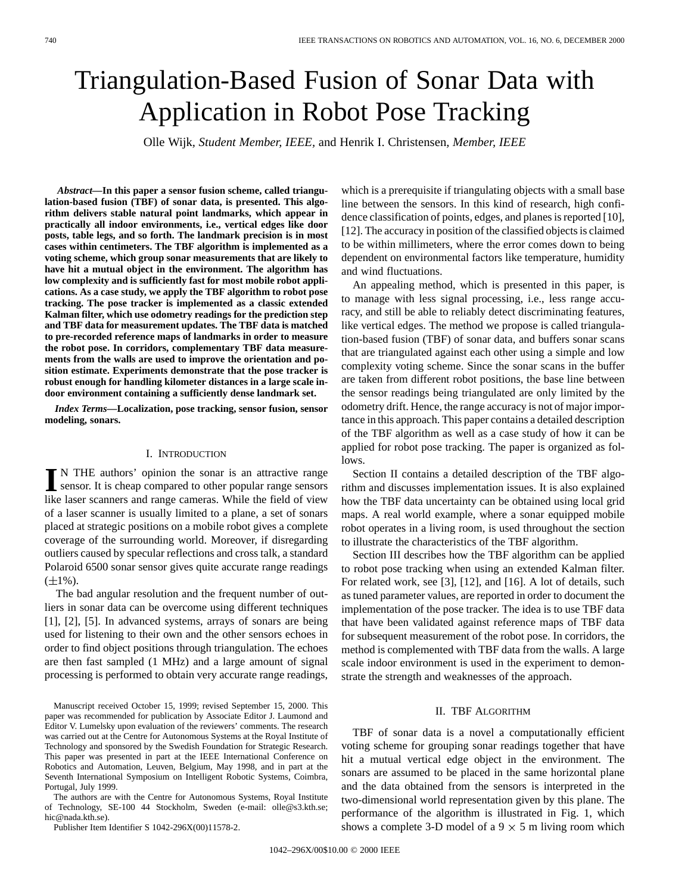# Triangulation-Based Fusion of Sonar Data with Application in Robot Pose Tracking

Olle Wijk*, Student Member, IEEE,* and Henrik I. Christensen*, Member, IEEE*

*Abstract—***In this paper a sensor fusion scheme, called triangulation-based fusion (TBF) of sonar data, is presented. This algorithm delivers stable natural point landmarks, which appear in practically all indoor environments, i.e., vertical edges like door posts, table legs, and so forth. The landmark precision is in most cases within centimeters. The TBF algorithm is implemented as a voting scheme, which group sonar measurements that are likely to have hit a mutual object in the environment. The algorithm has low complexity and is sufficiently fast for most mobile robot applications. As a case study, we apply the TBF algorithm to robot pose tracking. The pose tracker is implemented as a classic extended Kalman filter, which use odometry readings for the prediction step and TBF data for measurement updates. The TBF data is matched to pre-recorded reference maps of landmarks in order to measure the robot pose. In corridors, complementary TBF data measurements from the walls are used to improve the orientation and position estimate. Experiments demonstrate that the pose tracker is robust enough for handling kilometer distances in a large scale indoor environment containing a sufficiently dense landmark set.**

*Index Terms—***Localization, pose tracking, sensor fusion, sensor modeling, sonars.**

## I. INTRODUCTION

**I** N THE authors' opinion the sonar is an attractive range<br>sensor. It is cheap compared to other popular range sensors<br>like heap compare and grape sensors. While the field of view like laser scanners and range cameras. While the field of view of a laser scanner is usually limited to a plane, a set of sonars placed at strategic positions on a mobile robot gives a complete coverage of the surrounding world. Moreover, if disregarding outliers caused by specular reflections and cross talk, a standard Polaroid 6500 sonar sensor gives quite accurate range readings  $(\pm 1\%)$ .

The bad angular resolution and the frequent number of outliers in sonar data can be overcome using different techniques [1], [2], [5]. In advanced systems, arrays of sonars are being used for listening to their own and the other sensors echoes in order to find object positions through triangulation. The echoes are then fast sampled (1 MHz) and a large amount of signal processing is performed to obtain very accurate range readings,

Manuscript received October 15, 1999; revised September 15, 2000. This paper was recommended for publication by Associate Editor J. Laumond and Editor V. Lumelsky upon evaluation of the reviewers' comments. The research was carried out at the Centre for Autonomous Systems at the Royal Institute of Technology and sponsored by the Swedish Foundation for Strategic Research. This paper was presented in part at the IEEE International Conference on Robotics and Automation, Leuven, Belgium, May 1998, and in part at the Seventh International Symposium on Intelligent Robotic Systems, Coimbra, Portugal, July 1999.

The authors are with the Centre for Autonomous Systems, Royal Institute of Technology, SE-100 44 Stockholm, Sweden (e-mail: olle@s3.kth.se; hic@nada.kth.se).

Publisher Item Identifier S 1042-296X(00)11578-2.

which is a prerequisite if triangulating objects with a small base line between the sensors. In this kind of research, high confidence classification of points, edges, and planes is reported [10], [12]. The accuracy in position of the classified objects is claimed to be within millimeters, where the error comes down to being dependent on environmental factors like temperature, humidity and wind fluctuations.

An appealing method, which is presented in this paper, is to manage with less signal processing, i.e., less range accuracy, and still be able to reliably detect discriminating features, like vertical edges. The method we propose is called triangulation-based fusion (TBF) of sonar data, and buffers sonar scans that are triangulated against each other using a simple and low complexity voting scheme. Since the sonar scans in the buffer are taken from different robot positions, the base line between the sensor readings being triangulated are only limited by the odometry drift. Hence, the range accuracy is not of major importance in this approach. This paper contains a detailed description of the TBF algorithm as well as a case study of how it can be applied for robot pose tracking. The paper is organized as follows.

Section II contains a detailed description of the TBF algorithm and discusses implementation issues. It is also explained how the TBF data uncertainty can be obtained using local grid maps. A real world example, where a sonar equipped mobile robot operates in a living room, is used throughout the section to illustrate the characteristics of the TBF algorithm.

Section III describes how the TBF algorithm can be applied to robot pose tracking when using an extended Kalman filter. For related work, see [3], [12], and [16]. A lot of details, such as tuned parameter values, are reported in order to document the implementation of the pose tracker. The idea is to use TBF data that have been validated against reference maps of TBF data for subsequent measurement of the robot pose. In corridors, the method is complemented with TBF data from the walls. A large scale indoor environment is used in the experiment to demonstrate the strength and weaknesses of the approach.

#### II. TBF ALGORITHM

TBF of sonar data is a novel a computationally efficient voting scheme for grouping sonar readings together that have hit a mutual vertical edge object in the environment. The sonars are assumed to be placed in the same horizontal plane and the data obtained from the sensors is interpreted in the two-dimensional world representation given by this plane. The performance of the algorithm is illustrated in Fig. 1, which shows a complete 3-D model of a  $9 \times 5$  m living room which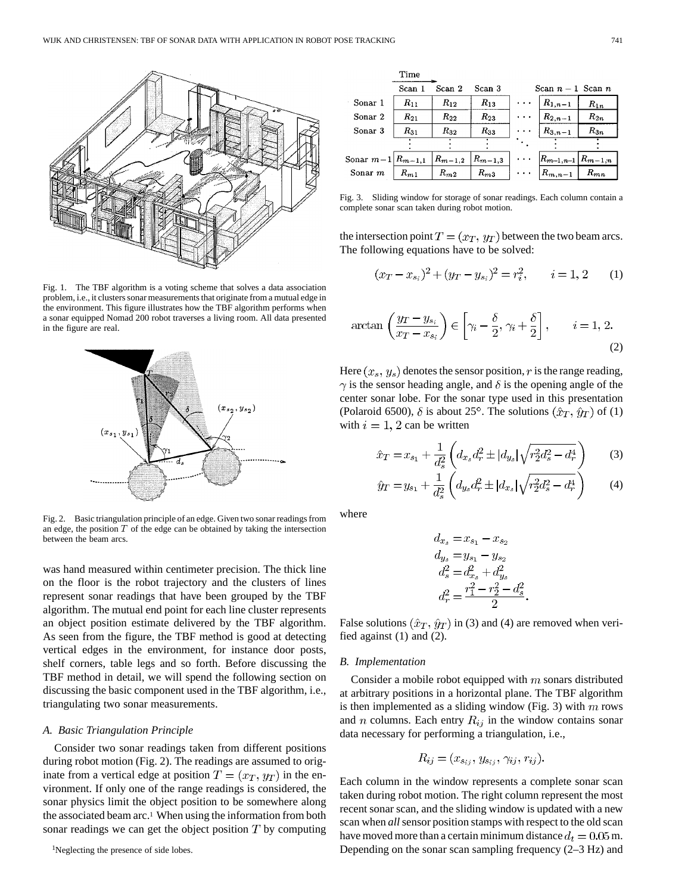

Fig. 1. The TBF algorithm is a voting scheme that solves a data association problem, i.e., it clusters sonar measurements that originate from a mutual edge in the environment. This figure illustrates how the TBF algorithm performs when a sonar equipped Nomad 200 robot traverses a living room. All data presented in the figure are real.



Fig. 2. Basic triangulation principle of an edge. Given two sonar readings from an edge, the position  $T$  of the edge can be obtained by taking the intersection between the beam arcs.

was hand measured within centimeter precision. The thick line on the floor is the robot trajectory and the clusters of lines represent sonar readings that have been grouped by the TBF algorithm. The mutual end point for each line cluster represents an object position estimate delivered by the TBF algorithm. As seen from the figure, the TBF method is good at detecting vertical edges in the environment, for instance door posts, shelf corners, table legs and so forth. Before discussing the TBF method in detail, we will spend the following section on discussing the basic component used in the TBF algorithm, i.e., triangulating two sonar measurements.

#### *A. Basic Triangulation Principle*

Consider two sonar readings taken from different positions during robot motion (Fig. 2). The readings are assumed to originate from a vertical edge at position  $T = (x_T, y_T)$  in the environment. If only one of the range readings is considered, the sonar physics limit the object position to be somewhere along the associated beam arc.1 When using the information from both sonar readings we can get the object position  $T$  by computing

|                        | 1 ime    |               |             |                   |                           |          |
|------------------------|----------|---------------|-------------|-------------------|---------------------------|----------|
|                        | Scan     | Scan 2        | Scan 3      | Scan $n-1$ Scan n |                           |          |
| Sonar 1                | $R_{11}$ | $R_{12}$      | $R_{13}$    |                   | $R_{1,n-1}$               | $R_{1n}$ |
| Sonar 2                | $R_{21}$ | $R_{22}$      | $R_{23}$    |                   | $R_{2,n-1}$               | $R_{2n}$ |
| Sonar 3                | $R_{31}$ | $R_{32}$      | $R_{33}$    |                   | $R_{3,n-1}$               | $R_{3n}$ |
|                        |          |               |             |                   |                           |          |
| Sonar $m-1 R_{m-1,1} $ |          | $ R_{m-1,2} $ | $R_{m-1,3}$ |                   | $ R_{m-1,n-1}  R_{m-1,n}$ |          |
| Sonar $m$              | $R_{m1}$ | $R_{m2}$      | $R_{m3}$    |                   | $ R_{m,n-1} $             | $R_{mn}$ |

Fig. 3. Sliding window for storage of sonar readings. Each column contain a complete sonar scan taken during robot motion.

the intersection point  $T = (x_T, y_T)$  between the two beam arcs. The following equations have to be solved:

$$
(x_T - x_{s_i})^2 + (y_T - y_{s_i})^2 = r_i^2, \qquad i = 1, 2 \qquad (1)
$$

$$
\arctan\left(\frac{y_T - y_{s_i}}{x_T - x_{s_i}}\right) \in \left[\gamma_i - \frac{\delta}{2}, \gamma_i + \frac{\delta}{2}\right], \qquad i = 1, 2.
$$
\n(2)

Here  $(x_s, y_s)$  denotes the sensor position, r is the range reading,  $\gamma$  is the sensor heading angle, and  $\delta$  is the opening angle of the center sonar lobe. For the sonar type used in this presentation (Polaroid 6500),  $\delta$  is about 25°. The solutions  $(\hat{x}_T, \hat{y}_T)$  of (1) with  $i = 1, 2$  can be written

$$
\hat{x}_T = x_{s_1} + \frac{1}{d_s^2} \left( d_{x_s} d_r^2 \pm |d_{y_s}| \sqrt{r_2^2 d_s^2 - d_r^4} \right) \tag{3}
$$

$$
\hat{y}_T = y_{s_1} + \frac{1}{d_s^2} \left( d_{y_s} d_r^2 \pm |d_{x_s}| \sqrt{r_2^2 d_s^2 - d_r^4} \right) \tag{4}
$$

where

$$
d_{x_s} = x_{s_1} - x_{s_2}
$$
  
\n
$$
d_{y_s} = y_{s_1} - y_{s_2}
$$
  
\n
$$
d_s^2 = d_{x_s}^2 + d_{y_s}^2
$$
  
\n
$$
d_r^2 = \frac{r_1^2 - r_2^2 - d_s^2}{2}
$$

False solutions  $(\hat{x}_T, \hat{y}_T)$  in (3) and (4) are removed when verified against (1) and (2).

#### *B. Implementation*

Consider a mobile robot equipped with  $m$  sonars distributed at arbitrary positions in a horizontal plane. The TBF algorithm is then implemented as a sliding window (Fig. 3) with  $m$  rows and *n* columns. Each entry  $R_{ij}$  in the window contains sonar data necessary for performing a triangulation, i.e.,

$$
R_{ij}=(x_{s_{ij}}, y_{s_{ij}}, \gamma_{ij}, r_{ij}).
$$

Each column in the window represents a complete sonar scan taken during robot motion. The right column represent the most recent sonar scan, and the sliding window is updated with a new scan when *all* sensor position stamps with respect to the old scan have moved more than a certain minimum distance  $d_t = 0.05$  m. Depending on the sonar scan sampling frequency (2–3 Hz) and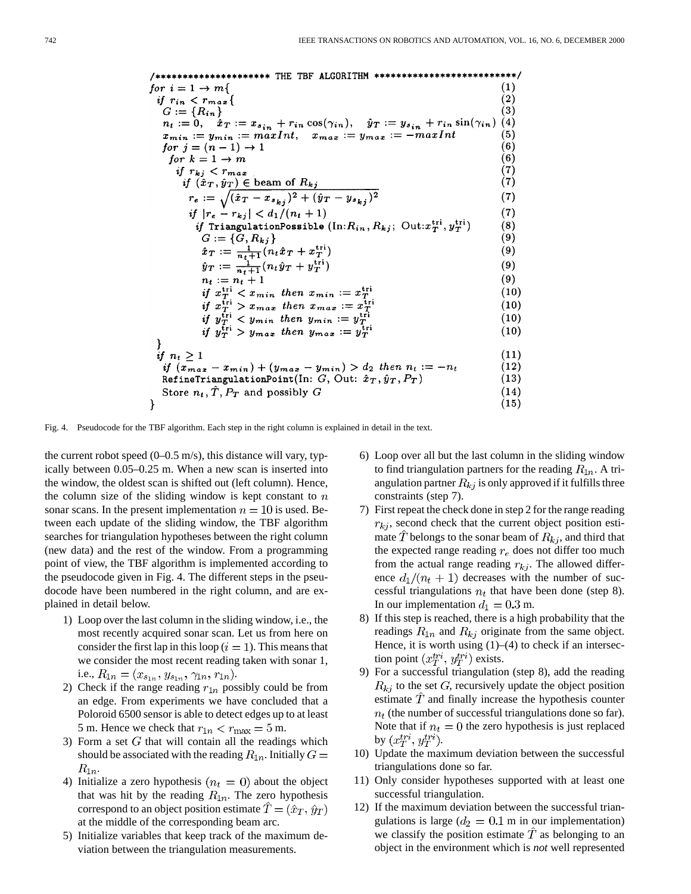/\*\*\*\*\*\*\*\*\*\*\*\*\*\*\*\*\*\*\*\*\*\* THE TBF ALGORITHM \*\*\*\*\*\*\*\*\*\*\*\*\*\*\*\*\*\*\*\* \*\*\*\*\*/ for  $i = 1 \rightarrow m$ {  $\left( 1\right)$  $\overset{(2)}{(3)}$ if  $r_{in} < r_{max}$  {<br>  $G := \{R_{in}\}$  $n_t := 0, \quad \hat{x}_T := x_{s_{in}} + r_{in} \cos(\gamma_{in}), \quad \hat{y}_T := y_{s_{in}} + r_{in} \sin(\gamma_{in})$ <br>  $x_{min} := y_{min} := maxInt, \quad x_{max} := y_{max} := -maxInt$  $(4)$  $(5)$  $(6)$ for  $j = (n-1) \rightarrow 1$ for  $k = 1 \rightarrow m$  $(6)$  $\begin{array}{l} \it{if}\;\; r_{kj} < r_{max} \\ \it{if}\;\; (\hat{x}_T, \hat{y}_T) \in \mbox{beam of } R_{kj} \\ \it{r_e} := \sqrt{(\hat{x}_T - x_{s_{kj}})^2 + (\hat{y}_T - y_{s_{kj}})^2} \end{array}$  $(7)$  $(7)$  $(7)$ if  $|r_e - r_{kj}| < d_1/(n_t + 1)$  $(7)$ *if* TriangulationPossible  $(\text{In:} R_{in}, R_{kj}; \text{ Out:} x_T^{\text{tri}}, y_T^{\text{tri}})$  $(8)$  $G := \{G, R_{kj}\}\ \hat{x}_T := \frac{1}{n_t+1}(n_t\hat{x}_T + x_T^{\text{tri}})\ \hat{y}_T := \frac{1}{n_t+1}(n_t\hat{y}_T + y_T^{\text{tri}})\ n_t := n_t + 1$  $(9)$  $(9)$  $(9)$  $(9)$ if  $x_T^{\text{tri}} < x_{min}$  then  $x_{min} := x_T^{\text{tri}}$  $(10)$ if  $x_T^{\text{tri}} > x_{max}$  then  $x_{max} := x_T^{\text{tri}}$ <br>if  $y_T^{\text{tri}} < y_{min}$  then  $y_{min} := y_T^{\text{tri}}$ <br>if  $y_T^{\text{tri}} > y_{max}$  then  $y_{max} := y_T^{\text{tri}}$  $(10)$  $(10)$  $(10)$ }  $(11)$ if  $n_t \geq 1$ if  $(x_{max} - x_{min}) + (y_{max} - y_{min}) > d_2$  then  $n_t := -n_t$  $(12)$ RefineTriangulationPoint(In:  $G$ , Out:  $\hat{x}_T$ ,  $\hat{y}_T$ ,  $P_T$ )  $(13)$ Store  $n_t$ ,  $\hat{T}$ ,  $P_T$  and possibly G  $(14)$  $\mathcal{Y}$  $(15)$ 

Fig. 4. Pseudocode for the TBF algorithm. Each step in the right column is explained in detail in the text.

the current robot speed  $(0-0.5 \text{ m/s})$ , this distance will vary, typically between 0.05–0.25 m. When a new scan is inserted into the window, the oldest scan is shifted out (left column). Hence, the column size of the sliding window is kept constant to  $n$ sonar scans. In the present implementation  $n = 10$  is used. Between each update of the sliding window, the TBF algorithm searches for triangulation hypotheses between the right column (new data) and the rest of the window. From a programming point of view, the TBF algorithm is implemented according to the pseudocode given in Fig. 4. The different steps in the pseudocode have been numbered in the right column, and are explained in detail below.

- 1) Loop over the last column in the sliding window, i.e., the most recently acquired sonar scan. Let us from here on consider the first lap in this loop ( $i = 1$ ). This means that we consider the most recent reading taken with sonar 1, i.e.,  $R_{1n} = (x_{s_{1n}}, y_{s_{1n}}, \gamma_{1n}, r_{1n}).$
- 2) Check if the range reading  $r_{1n}$  possibly could be from an edge. From experiments we have concluded that a Poloroid 6500 sensor is able to detect edges up to at least 5 m. Hence we check that  $r_{1n} < r_{\text{max}} = 5$  m.
- 3) Form a set  $G$  that will contain all the readings which should be associated with the reading  $R_{1n}$ . Initially  $G =$  $R_{1n}$ .
- 4) Initialize a zero hypothesis  $(n_t = 0)$  about the object that was hit by the reading  $R_{1n}$ . The zero hypothesis correspond to an object position estimate  $\hat{T} = (\hat{x}_T, \hat{y}_T)$ at the middle of the corresponding beam arc.
- 5) Initialize variables that keep track of the maximum deviation between the triangulation measurements.
- 6) Loop over all but the last column in the sliding window to find triangulation partners for the reading  $R_{1n}$ . A triangulation partner  $R_{kj}$  is only approved if it fulfills three constraints (step 7).
- 7) First repeat the check done in step 2 for the range reading  $r_{ki}$ , second check that the current object position estimate T belongs to the sonar beam of  $R_{ki}$ , and third that the expected range reading  $r_e$  does not differ too much from the actual range reading  $r_{kj}$ . The allowed difference  $d_1/(n_t+1)$  decreases with the number of successful triangulations  $n_t$  that have been done (step 8). In our implementation  $d_1 = 0.3$  m.
- 8) If this step is reached, there is a high probability that the readings  $R_{1n}$  and  $R_{kj}$  originate from the same object. Hence, it is worth using  $(1)$ – $(4)$  to check if an intersection point  $(x_T^{tri}, y_T^{tri})$  exists.
- 9) For a successful triangulation (step 8), add the reading  $R_{ki}$  to the set G, recursively update the object position estimate  $T$  and finally increase the hypothesis counter  $n_t$  (the number of successful triangulations done so far). Note that if  $n_t = 0$  the zero hypothesis is just replaced by  $(x_T^{tri}, y_T^{tri})$ .
- 10) Update the maximum deviation between the successful triangulations done so far.
- 11) Only consider hypotheses supported with at least one successful triangulation.
- 12) If the maximum deviation between the successful triangulations is large ( $d_2 = 0.1$  m in our implementation) we classify the position estimate  $\hat{T}$  as belonging to an object in the environment which is *not* well represented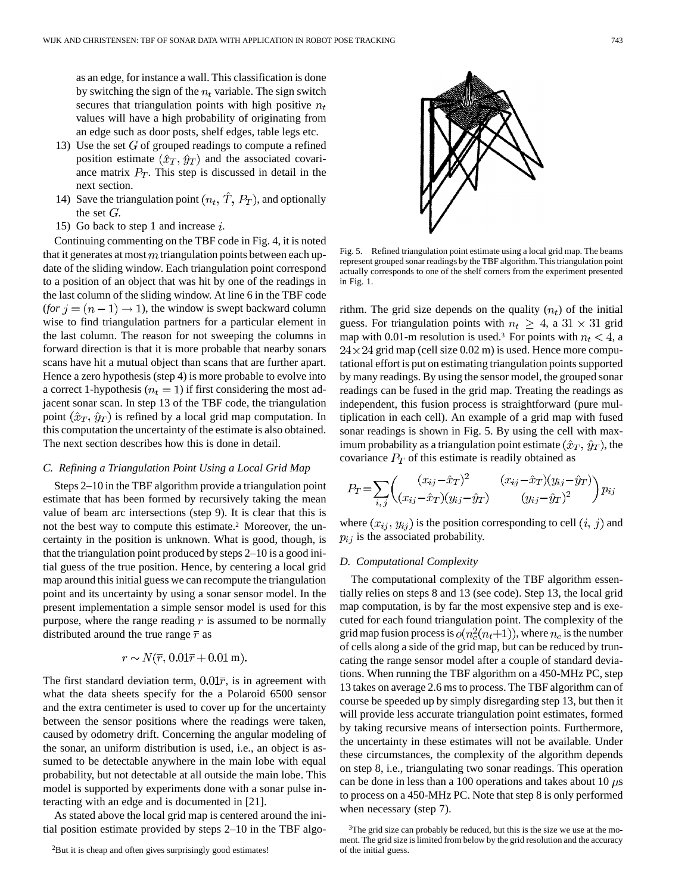as an edge, for instance a wall. This classification is done by switching the sign of the  $n_t$  variable. The sign switch secures that triangulation points with high positive  $n_t$ values will have a high probability of originating from an edge such as door posts, shelf edges, table legs etc.

- 13) Use the set  $G$  of grouped readings to compute a refined position estimate  $(\hat{x}_T, \hat{y}_T)$  and the associated covariance matrix  $P_T$ . This step is discussed in detail in the next section.
- 14) Save the triangulation point  $(n_t, \hat{T}, P_T)$ , and optionally the set  $G$ .
- 15) Go back to step 1 and increase  $i$ .

Continuing commenting on the TBF code in Fig. 4, it is noted that it generates at most  $m$  triangulation points between each update of the sliding window. Each triangulation point correspond to a position of an object that was hit by one of the readings in the last column of the sliding window. At line 6 in the TBF code  $($ for  $j = (n - 1) \rightarrow 1)$ , the window is swept backward column wise to find triangulation partners for a particular element in the last column. The reason for not sweeping the columns in forward direction is that it is more probable that nearby sonars scans have hit a mutual object than scans that are further apart. Hence a zero hypothesis (step 4) is more probable to evolve into a correct 1-hypothesis ( $n_t = 1$ ) if first considering the most adjacent sonar scan. In step 13 of the TBF code, the triangulation point  $(\hat{x}_T, \hat{y}_T)$  is refined by a local grid map computation. In this computation the uncertainty of the estimate is also obtained. The next section describes how this is done in detail.

## *C. Refining a Triangulation Point Using a Local Grid Map*

Steps 2–10 in the TBF algorithm provide a triangulation point estimate that has been formed by recursively taking the mean value of beam arc intersections (step 9). It is clear that this is not the best way to compute this estimate.2 Moreover, the uncertainty in the position is unknown. What is good, though, is that the triangulation point produced by steps 2–10 is a good initial guess of the true position. Hence, by centering a local grid map around this initial guess we can recompute the triangulation point and its uncertainty by using a sonar sensor model. In the present implementation a simple sensor model is used for this purpose, where the range reading  $r$  is assumed to be normally distributed around the true range  $\bar{r}$  as

$$
r \sim N(\overline{r}, 0.01\overline{r} + 0.01 \text{ m}).
$$

The first standard deviation term,  $0.01\overline{r}$ , is in agreement with what the data sheets specify for the a Polaroid 6500 sensor and the extra centimeter is used to cover up for the uncertainty between the sensor positions where the readings were taken, caused by odometry drift. Concerning the angular modeling of the sonar, an uniform distribution is used, i.e., an object is assumed to be detectable anywhere in the main lobe with equal probability, but not detectable at all outside the main lobe. This model is supported by experiments done with a sonar pulse interacting with an edge and is documented in [21].

As stated above the local grid map is centered around the initial position estimate provided by steps 2–10 in the TBF algo-



Fig. 5. Refined triangulation point estimate using a local grid map. The beams represent grouped sonar readings by the TBF algorithm. This triangulation point actually corresponds to one of the shelf corners from the experiment presented in Fig. 1.

rithm. The grid size depends on the quality  $(n_t)$  of the initial guess. For triangulation points with  $n_t \geq 4$ , a  $31 \times 31$  grid map with 0.01-m resolution is used.<sup>3</sup> For points with  $n_t < 4$ , a  $24 \times 24$  grid map (cell size 0.02 m) is used. Hence more computational effort is put on estimating triangulation points supported by many readings. By using the sensor model, the grouped sonar readings can be fused in the grid map. Treating the readings as independent, this fusion process is straightforward (pure multiplication in each cell). An example of a grid map with fused sonar readings is shown in Fig. 5. By using the cell with maximum probability as a triangulation point estimate  $(\hat{x}_T, \hat{y}_T)$ , the covariance  $P_T$  of this estimate is readily obtained as

$$
P_T = \sum_{i,j} \begin{pmatrix} (x_{ij} - \hat{x}_T)^2 & (x_{ij} - \hat{x}_T)(y_{ij} - \hat{y}_T) \\ (x_{ij} - \hat{x}_T)(y_{ij} - \hat{y}_T) & (y_{ij} - \hat{y}_T)^2 \end{pmatrix} p_{ij}
$$

where  $(x_{ij}, y_{ij})$  is the position corresponding to cell  $(i, j)$  and  $p_{ij}$  is the associated probability.

#### *D. Computational Complexity*

The computational complexity of the TBF algorithm essentially relies on steps 8 and 13 (see code). Step 13, the local grid map computation, is by far the most expensive step and is executed for each found triangulation point. The complexity of the grid map fusion process is  $o(n_c^2(n_t+1))$ , where  $n_c$  is the number of cells along a side of the grid map, but can be reduced by truncating the range sensor model after a couple of standard deviations. When running the TBF algorithm on a 450-MHz PC, step 13 takes on average 2.6 ms to process. The TBF algorithm can of course be speeded up by simply disregarding step 13, but then it will provide less accurate triangulation point estimates, formed by taking recursive means of intersection points. Furthermore, the uncertainty in these estimates will not be available. Under these circumstances, the complexity of the algorithm depends on step 8, i.e., triangulating two sonar readings. This operation can be done in less than a 100 operations and takes about 10  $\mu$ s to process on a 450-MHz PC. Note that step 8 is only performed when necessary (step 7).

<sup>&</sup>lt;sup>2</sup>But it is cheap and often gives surprisingly good estimates!

<sup>&</sup>lt;sup>3</sup>The grid size can probably be reduced, but this is the size we use at the moment. The grid size is limited from below by the grid resolution and the accuracy of the initial guess.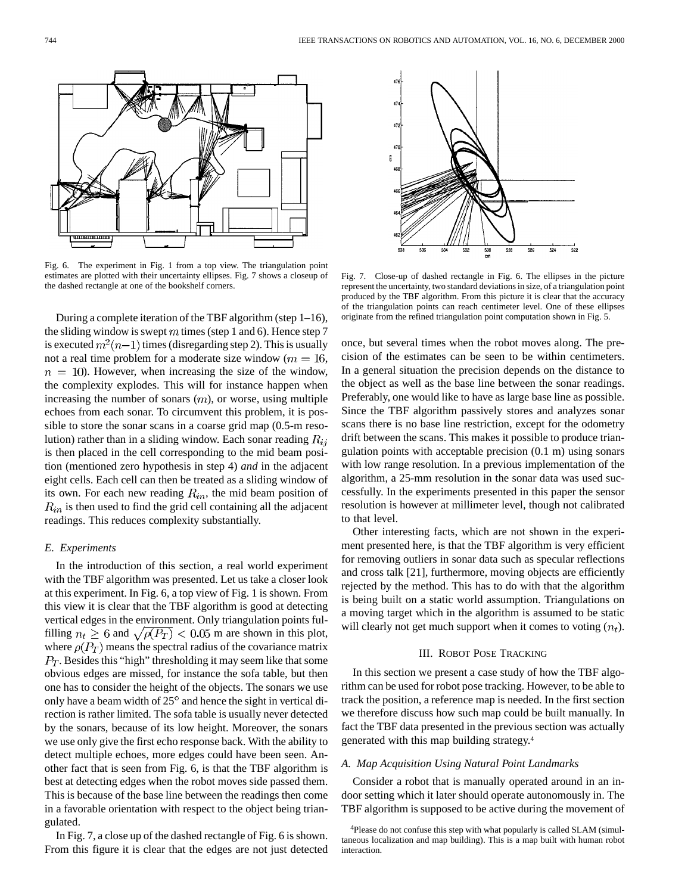

Fig. 6. The experiment in Fig. 1 from a top view. The triangulation point estimates are plotted with their uncertainty ellipses. Fig. 7 shows a closeup of the dashed rectangle at one of the bookshelf corners.

During a complete iteration of the TBF algorithm (step 1–16), the sliding window is swept  $m$  times (step 1 and 6). Hence step 7 is executed  $m^2(n-1)$  times (disregarding step 2). This is usually not a real time problem for a moderate size window ( $m = 16$ ,  $n = 10$ ). However, when increasing the size of the window, the complexity explodes. This will for instance happen when increasing the number of sonars  $(m)$ , or worse, using multiple echoes from each sonar. To circumvent this problem, it is possible to store the sonar scans in a coarse grid map (0.5-m resolution) rather than in a sliding window. Each sonar reading  $R_{ij}$ is then placed in the cell corresponding to the mid beam position (mentioned zero hypothesis in step 4) *and* in the adjacent eight cells. Each cell can then be treated as a sliding window of its own. For each new reading  $R_{in}$ , the mid beam position of  $R_{in}$  is then used to find the grid cell containing all the adjacent readings. This reduces complexity substantially.

## *E. Experiments*

In the introduction of this section, a real world experiment with the TBF algorithm was presented. Let us take a closer look at this experiment. In Fig. 6, a top view of Fig. 1 is shown. From this view it is clear that the TBF algorithm is good at detecting vertical edges in the environment. Only triangulation points fulfilling  $n_t \geq 6$  and  $\sqrt{\rho(P_T)} < 0.05$  m are shown in this plot, where  $\rho(P_T)$  means the spectral radius of the covariance matrix  $P_T$ . Besides this "high" thresholding it may seem like that some obvious edges are missed, for instance the sofa table, but then one has to consider the height of the objects. The sonars we use only have a beam width of  $25^{\circ}$  and hence the sight in vertical direction is rather limited. The sofa table is usually never detected by the sonars, because of its low height. Moreover, the sonars we use only give the first echo response back. With the ability to detect multiple echoes, more edges could have been seen. Another fact that is seen from Fig. 6, is that the TBF algorithm is best at detecting edges when the robot moves side passed them. This is because of the base line between the readings then come in a favorable orientation with respect to the object being triangulated.

In Fig. 7, a close up of the dashed rectangle of Fig. 6 is shown. From this figure it is clear that the edges are not just detected



Fig. 7. Close-up of dashed rectangle in Fig. 6. The ellipses in the picture represent the uncertainty, two standard deviations in size, of a triangulation point produced by the TBF algorithm. From this picture it is clear that the accuracy of the triangulation points can reach centimeter level. One of these ellipses originate from the refined triangulation point computation shown in Fig. 5.

once, but several times when the robot moves along. The precision of the estimates can be seen to be within centimeters. In a general situation the precision depends on the distance to the object as well as the base line between the sonar readings. Preferably, one would like to have as large base line as possible. Since the TBF algorithm passively stores and analyzes sonar scans there is no base line restriction, except for the odometry drift between the scans. This makes it possible to produce triangulation points with acceptable precision (0.1 m) using sonars with low range resolution. In a previous implementation of the algorithm, a 25-mm resolution in the sonar data was used successfully. In the experiments presented in this paper the sensor resolution is however at millimeter level, though not calibrated to that level.

Other interesting facts, which are not shown in the experiment presented here, is that the TBF algorithm is very efficient for removing outliers in sonar data such as specular reflections and cross talk [21], furthermore, moving objects are efficiently rejected by the method. This has to do with that the algorithm is being built on a static world assumption. Triangulations on a moving target which in the algorithm is assumed to be static will clearly not get much support when it comes to voting  $(n_t)$ .

#### III. ROBOT POSE TRACKING

In this section we present a case study of how the TBF algorithm can be used for robot pose tracking. However, to be able to track the position, a reference map is needed. In the first section we therefore discuss how such map could be built manually. In fact the TBF data presented in the previous section was actually generated with this map building strategy.4

#### *A. Map Acquisition Using Natural Point Landmarks*

Consider a robot that is manually operated around in an indoor setting which it later should operate autonomously in. The TBF algorithm is supposed to be active during the movement of

<sup>4</sup>Please do not confuse this step with what popularly is called SLAM (simultaneous localization and map building). This is a map built with human robot interaction.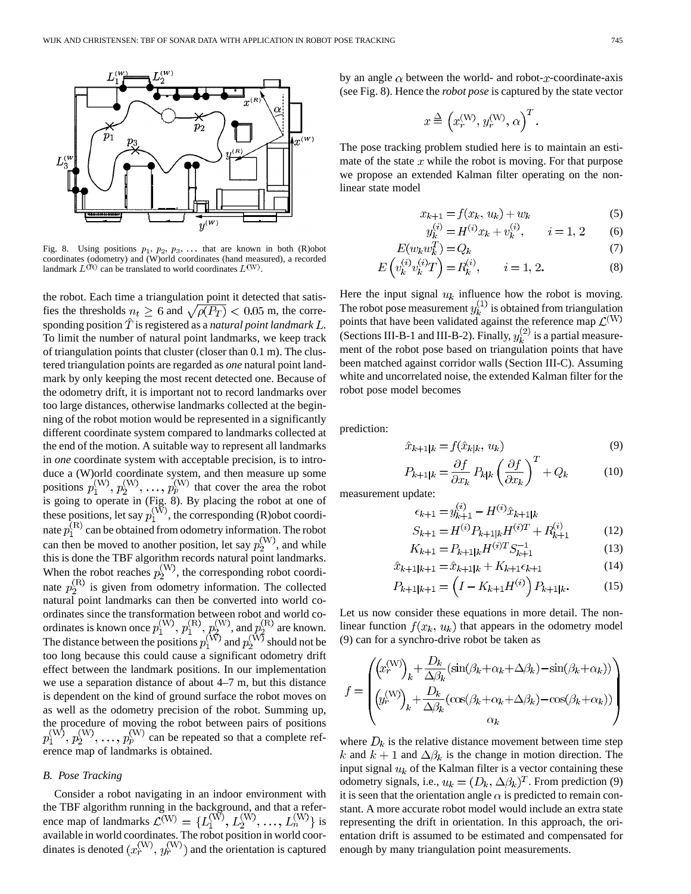

Fig. 8. Using positions  $p_1, p_2, p_3, \ldots$  that are known in both (R)obot coordinates (odometry) and (W)orld coordinates (hand measured), a recorded landmark  $L^{(R)}$  can be translated to world coordinates  $L^{(W)}$ .

the robot. Each time a triangulation point it detected that satisfies the thresholds  $n_t \geq 6$  and  $\sqrt{\rho(P_T)} < 0.05$  m, the corresponding position  $\ddot{T}$  is registered as a *natural point landmark*  $\ddot{L}$ . To limit the number of natural point landmarks, we keep track of triangulation points that cluster (closer than 0.1 m). The clustered triangulation points are regarded as *one* natural point landmark by only keeping the most recent detected one. Because of the odometry drift, it is important not to record landmarks over too large distances, otherwise landmarks collected at the beginning of the robot motion would be represented in a significantly different coordinate system compared to landmarks collected at the end of the motion. A suitable way to represent all landmarks in *one* coordinate system with acceptable precision, is to introduce a (W)orld coordinate system, and then measure up some positions  $p_1^{(W)}, p_2^{(W)}, \ldots, p_p^{(W)}$  that cover the area the robot is going to operate in (Fig. 8). By placing the robot at one of these positions, let say  $p_1^{\{W\}}$ , the corresponding (R)obot coordinate  $p_1^{(R)}$  can be obtained from odometry information. The robot can then be moved to another position, let say  $p_2^{(W)}$ , and while this is done the TBF algorithm records natural point landmarks. When the robot reaches  $p_2^{\langle W \rangle}$ , the corresponding robot coordinate  $p_2^{(R)}$  is given from odometry information. The collected natural point landmarks can then be converted into world coordinates since the transformation between robot and world coordinates is known once  $p_1^{(W)}$ ,  $p_1^{(W)}$ ,  $p_2^{(W)}$ , and  $p_2^{(W)}$  are known. The distance between the positions  $p_1^{\{W\}}$  and  $p_2^{\{W\}}$  should not be too long because this could cause a significant odometry drift effect between the landmark positions. In our implementation we use a separation distance of about 4–7 m, but this distance is dependent on the kind of ground surface the robot moves on as well as the odometry precision of the robot. Summing up, the procedure of moving the robot between pairs of positions can be repeated so that a complete reference map of landmarks is obtained.

#### *B. Pose Tracking*

Consider a robot navigating in an indoor environment with the TBF algorithm running in the background, and that a reference map of landmarks  $\mathcal{L}^{(W)} = \{L_1^{(W)}, L_2^{(W)}, \dots, L_n^{(W)}\}$  is available in world coordinates. The robot position in world coordinates is denoted  $(x_r^{(W)}, y_r^{(W)})$  and the orientation is captured by an angle  $\alpha$  between the world- and robot-x-coordinate-axis (see Fig. 8). Hence the *robot pose* is captured by the state vector

$$
x \stackrel{\Delta}{=} \left(x_r^{\text{(W)}}, y_r^{\text{(W)}}, \alpha\right)^T
$$

The pose tracking problem studied here is to maintain an estimate of the state  $x$  while the robot is moving. For that purpose we propose an extended Kalman filter operating on the nonlinear state model

$$
x_{k+1} = f(x_k, u_k) + w_k \tag{5}
$$

$$
y_k^{(i)} = H^{(i)}x_k + v_k^{(i)}, \qquad i = 1, 2 \tag{6}
$$

$$
(w_k w_k^T) = Q_k \tag{7}
$$

$$
E\left(v_k^{(i)}v_k^{(i)}T\right) = R_k^{(i)}, \qquad i = 1, 2.
$$
 (8)

Here the input signal  $u_k$  influence how the robot is moving. The robot pose measurement  $y_k^{(1)}$  is obtained from triangulation points that have been validated against the reference map (Sections III-B-1 and III-B-2). Finally,  $y_k^{(2)}$  is a partial measurement of the robot pose based on triangulation points that have been matched against corridor walls (Section III-C). Assuming white and uncorrelated noise, the extended Kalman filter for the robot pose model becomes

prediction:

$$
\hat{v}_{k+1|k} = f(\hat{x}_{k|k}, u_k) \tag{9}
$$

$$
P_{k+1|k} = \frac{\partial f}{\partial x_k} P_{k|k} \left(\frac{\partial f}{\partial x_k}\right)^1 + Q_k \tag{10}
$$

measurement update:

 $\boldsymbol{E}$ 

$$
\epsilon_{k+1} = y_{k+1}^{(i)} - H^{(i)} \hat{x}_{k+1|k}
$$
  
\n
$$
S_{k+1} = H^{(i)} P_{k+1|k} H^{(i)T} + R_{k+1}^{(i)}
$$
\n(12)

$$
K_{k+1} = P_{k+1|k} H^{(i)T} S_{k+1}^{-1}
$$
 (13)

$$
\hat{x}_{k+1|k+1} = \hat{x}_{k+1|k} + K_{k+1}\epsilon_{k+1} \tag{14}
$$

$$
P_{k+1|k+1} = \left(I - K_{k+1}H^{(i)}\right)P_{k+1|k}.\tag{15}
$$

Let us now consider these equations in more detail. The nonlinear function  $f(x_k, u_k)$  that appears in the odometry model (9) can for a synchro-drive robot be taken as

$$
f = \begin{pmatrix} \left(x_r^{(W)}\right)_k + \frac{D_k}{\Delta \beta_k} (\sin(\beta_k + \alpha_k + \Delta \beta_k) - \sin(\beta_k + \alpha_k)) \\ \left(y_r^{(W)}\right)_k + \frac{D_k}{\Delta \beta_k} (\cos(\beta_k + \alpha_k + \Delta \beta_k) - \cos(\beta_k + \alpha_k)) \\ \alpha_k \end{pmatrix}
$$

where  $D_k$  is the relative distance movement between time step k and  $k + 1$  and  $\Delta \beta_k$  is the change in motion direction. The input signal  $u_k$  of the Kalman filter is a vector containing these odometry signals, i.e.,  $u_k = (D_k, \Delta \beta_k)^T$ . From prediction (9) it is seen that the orientation angle  $\alpha$  is predicted to remain constant. A more accurate robot model would include an extra state representing the drift in orientation. In this approach, the orientation drift is assumed to be estimated and compensated for enough by many triangulation point measurements.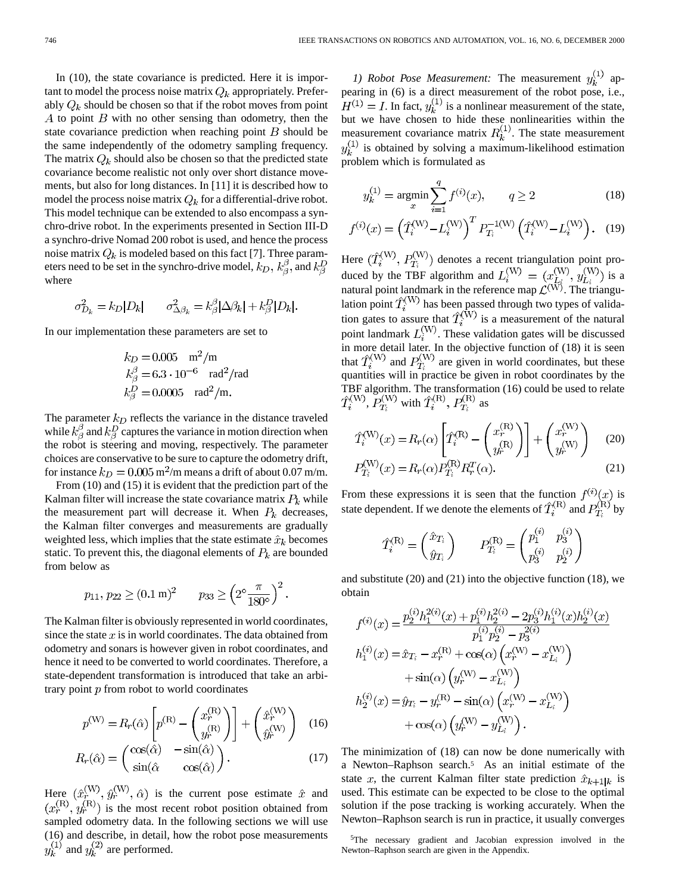In (10), the state covariance is predicted. Here it is important to model the process noise matrix  $Q_k$  appropriately. Preferably  $Q_k$  should be chosen so that if the robot moves from point  $A$  to point  $B$  with no other sensing than odometry, then the state covariance prediction when reaching point  $B$  should be the same independently of the odometry sampling frequency. The matrix  $Q_k$  should also be chosen so that the predicted state covariance become realistic not only over short distance movements, but also for long distances. In [11] it is described how to model the process noise matrix  $Q_k$  for a differential-drive robot. This model technique can be extended to also encompass a synchro-drive robot. In the experiments presented in Section III-D a synchro-drive Nomad 200 robot is used, and hence the process noise matrix  $Q_k$  is modeled based on this fact [7]. Three parameters need to be set in the synchro-drive model,  $k_D$ ,  $k_B^{\beta}$ , and  $k_B^D$ where

$$
\sigma_{D_k}^2 = k_D |D_k| \qquad \sigma_{\Delta \beta_k}^2 = k_\beta^\beta |\Delta \beta_k| + k_\beta^D |D_k|.
$$

In our implementation these parameters are set to

$$
k_D = 0.005
$$
 m<sup>2</sup>/m  
\n $k_\beta^\beta = 6.3 \cdot 10^{-6}$  rad<sup>2</sup>/rad  
\n $k_\beta^\beta = 0.0005$  rad<sup>2</sup>/m.

The parameter  $k_D$  reflects the variance in the distance traveled while  $k^{\beta}_{\beta}$  and  $k^D_{\beta}$  captures the variance in motion direction when the robot is steering and moving, respectively. The parameter choices are conservative to be sure to capture the odometry drift, for instance  $k_D = 0.005 \,\mathrm{m^2/m}$  means a drift of about 0.07 m/m.

From (10) and (15) it is evident that the prediction part of the Kalman filter will increase the state covariance matrix  $P_k$  while the measurement part will decrease it. When  $P_k$  decreases, the Kalman filter converges and measurements are gradually weighted less, which implies that the state estimate  $\hat{x}_k$  becomes static. To prevent this, the diagonal elements of  $P_k$  are bounded from below as

$$
p_{11}, p_{22} \ge (0.1 \text{ m})^2
$$
  $p_{33} \ge \left(2^{\circ} \frac{\pi}{180^{\circ}}\right)^2$ .

The Kalman filter is obviously represented in world coordinates, since the state  $x$  is in world coordinates. The data obtained from odometry and sonars is however given in robot coordinates, and hence it need to be converted to world coordinates. Therefore, a state-dependent transformation is introduced that take an arbitrary point  $p$  from robot to world coordinates

$$
p^{(W)} = R_r(\hat{\alpha}) \left[ p^{(R)} - \begin{pmatrix} x_r^{(R)} \\ y_r^{(R)} \end{pmatrix} \right] + \begin{pmatrix} \hat{x}_r^{(W)} \\ \hat{y}_r^{(W)} \end{pmatrix} \quad (16)
$$

$$
R_r(\hat{\alpha}) = \begin{pmatrix} \cos(\hat{\alpha}) & -\sin(\hat{\alpha}) \\ \sin(\hat{\alpha}) & \cos(\hat{\alpha}) \end{pmatrix}.
$$
 (17)

Here  $(\hat{x}_r^{\langle W \rangle}, \hat{y}_r^{\langle W \rangle}, \hat{\alpha})$  is the current pose estimate  $\hat{x}$  and is the most recent robot position obtained from sampled odometry data. In the following sections we will use (16) and describe, in detail, how the robot pose measurements and  $y_k^{(2)}$  are performed.

*1) Robot Pose Measurement:* The measurement  $y_k^{(1)}$  appearing in (6) is a direct measurement of the robot pose, i.e.,  $H^{(1)} = I$ . In fact,  $y_k^{(1)}$  is a nonlinear measurement of the state, but we have chosen to hide these nonlinearities within the measurement covariance matrix  $R_k^{(1)}$ . The state measurement  $y_k^{(1)}$  is obtained by solving a maximum-likelihood estimation problem which is formulated as

$$
y_k^{(1)} = \underset{x}{\text{argmin}} \sum_{i=1}^q f^{(i)}(x), \qquad q \ge 2
$$
 (18)

$$
f^{(i)}(x) = \left(\hat{T}_i^{(W)} - L_i^{(W)}\right)^T P_{T_i}^{-1(W)} \left(\hat{T}_i^{(W)} - L_i^{(W)}\right). \quad (19)
$$

Here  $(\hat{T}_i^{(W)}, P_T^{(W)})$  denotes a recent triangulation point produced by the TBF algorithm and  $L_i^{(W)} = (x_{i,j}^{(W)}, y_{i,j}^{(W)})$  is a natural point landmark in the reference map  $\mathcal{L}^{(W)}$ . The triangulation point  $T_i^{(W)}$  has been passed through two types of validation gates to assure that  $T_i^{(W)}$  is a measurement of the natural point landmark  $L_i^{(W)}$ . These validation gates will be discussed in more detail later. In the objective function of (18) it is seen that  $T_i^{(w)}$  and  $P_T^{(w)}$  are given in world coordinates, but these quantities will in practice be given in robot coordinates by the TBF algorithm. The transformation (16) could be used to relate ,  $P_T^{(W)}$  with  $T_i^{(R)}$ ,  $P_T^{(R)}$  as

$$
\hat{T}_i^{(\mathrm{W})}(x) = R_r(\alpha) \left[ \hat{T}_i^{(\mathrm{R})} - \begin{pmatrix} x_r^{(\mathrm{R})} \\ y_r^{(\mathrm{R})} \end{pmatrix} \right] + \begin{pmatrix} x_r^{(\mathrm{W})} \\ y_r^{(\mathrm{W})} \end{pmatrix}
$$
\n
$$
P_{\mathrm{T}_i}^{(\mathrm{W})}(x) = R_r(\alpha) P_{\mathrm{T}_i}^{(\mathrm{R})} R_r^T(\alpha).
$$
\n(21)

From these expressions it is seen that the function  $f^{(i)}(x)$  is state dependent. If we denote the elements of  $\hat{T}_i^{(R)}$  and  $P_{T_2}^{(R)}$  by

$$
\hat{r}_i^{(\mathrm{R})} = \begin{pmatrix} \hat{x}_{T_i} \\ \hat{y}_{T_i} \end{pmatrix} \qquad P_{T_i}^{(\mathrm{R})} = \begin{pmatrix} p_1^{(i)} & p_3^{(i)} \\ p_3^{(i)} & p_2^{(i)} \end{pmatrix}
$$

2

and substitute (20) and (21) into the objective function (18), we obtain

$$
f^{(i)}(x) = \frac{p_2^{(i)}h_1^{2(i)}(x) + p_1^{(i)}h_2^{2(i)} - 2p_3^{(i)}h_1^{(i)}(x)h_2^{(i)}(x)}{p_1^{(i)}p_2^{(i)} - p_3^{2(i)}}
$$
  
\n
$$
h_1^{(i)}(x) = \hat{x}_{T_i} - x_r^{(\mathcal{R})} + \cos(\alpha)\left(x_r^{(\mathcal{W})} - x_{L_i}^{(\mathcal{W})}\right)
$$
  
\n
$$
+ \sin(\alpha)\left(y_r^{(\mathcal{W})} - x_{L_i}^{(\mathcal{W})}\right)
$$
  
\n
$$
h_2^{(i)}(x) = \hat{y}_{T_i} - y_r^{(\mathcal{R})} - \sin(\alpha)\left(x_r^{(\mathcal{W})} - x_{L_i}^{(\mathcal{W})}\right)
$$
  
\n
$$
+ \cos(\alpha)\left(y_r^{(\mathcal{W})} - y_{L_i}^{(\mathcal{W})}\right).
$$

The minimization of (18) can now be done numerically with a Newton–Raphson search.5 As an initial estimate of the state x, the current Kalman filter state prediction  $\hat{x}_{k+1|k}$  is used. This estimate can be expected to be close to the optimal solution if the pose tracking is working accurately. When the Newton–Raphson search is run in practice, it usually converges

<sup>5</sup>The necessary gradient and Jacobian expression involved in the Newton–Raphson search are given in the Appendix.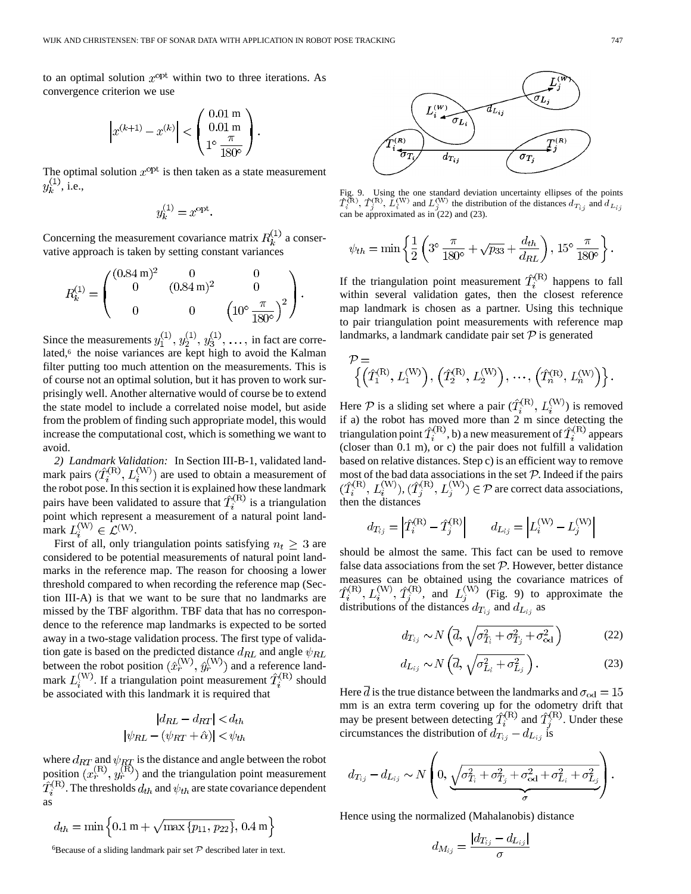to an optimal solution  $x^{\text{opt}}$  within two to three iterations. As convergence criterion we use

$$
\left| x^{(k+1)} - x^{(k)} \right| < \begin{pmatrix} 0.01 \text{ m} \\ 0.01 \text{ m} \\ 1^{\circ} \frac{\pi}{180^{\circ}} \end{pmatrix}
$$

The optimal solution  $x^{\text{opt}}$  is then taken as a state measurement  $y_k^{(1)}$ , i.e.,

$$
y_k^{(1)} = x^{\text{opt}}.
$$

Concerning the measurement covariance matrix  $R_k^{\perp}$  a conservative approach is taken by setting constant variances

$$
R_k^{(1)} = \begin{pmatrix} (0.84 \,\mathrm{m})^2 & 0 & 0 \\ 0 & (0.84 \,\mathrm{m})^2 & 0 \\ 0 & 0 & \left(10^\circ \frac{\pi}{180^\circ}\right)^2 \end{pmatrix}.
$$

Since the measurements  $y_1^{\perp\perp}, y_2^{\perp\perp}, y_3^{\perp\perp}, \ldots$ , in fact are correlated,<sup>6</sup> the noise variances are kept high to avoid the Kalman filter putting too much attention on the measurements. This is of course not an optimal solution, but it has proven to work surprisingly well. Another alternative would of course be to extend the state model to include a correlated noise model, but aside from the problem of finding such appropriate model, this would increase the computational cost, which is something we want to avoid.

*2) Landmark Validation:* In Section III-B-1, validated landmark pairs  $(T_i^{(N)}, L_i^{(N)})$  are used to obtain a measurement of the robot pose. In this section it is explained how these landmark pairs have been validated to assure that  $\hat{T}_i^{(R)}$  is a triangulation point which represent a measurement of a natural point landmark  $L_i^{(W)} \in \mathcal{L}^{(W)}$ .

First of all, only triangulation points satisfying  $n_t \geq 3$  are considered to be potential measurements of natural point landmarks in the reference map. The reason for choosing a lower threshold compared to when recording the reference map (Section III-A) is that we want to be sure that no landmarks are missed by the TBF algorithm. TBF data that has no correspondence to the reference map landmarks is expected to be sorted away in a two-stage validation process. The first type of validation gate is based on the predicted distance  $d_{RL}$  and angle between the robot position  $(\hat{x}_r^{(w)}, \hat{y}_r^{(w)})$  and a reference landmark  $L_i^{(W)}$ . If a triangulation point measurement  $\hat{T}_i^{(R)}$  should be associated with this landmark it is required that

$$
|d_{RL} - d_{RT}| < d_{th}
$$
\n
$$
|\psi_{RL} - (\psi_{RT} + \hat{\alpha})| < \psi_{th}
$$

where  $d_{RT}$  and  $\psi_{RT}$  is the distance and angle between the robot position  $(x_r^{(n)}, y_r^{(n)})$  and the triangulation point measurement . The thresholds  $d_{th}$  and  $\psi_{th}$  are state covariance dependent as

$$
d_{th} = \min\left\{0.1 \text{ m} + \sqrt{\max\left\{p_{11}, p_{22}\right\}}, 0.4 \text{ m}\right\}
$$

Fig. 9. Using the one standard deviation uncertainty ellipses of the points Fig. 9. Using the one standard deviation uncertainty ellipses of the po<br> $\hat{T}_{\lambda}^{(\text{R})}, \hat{T}_{\lambda}^{(\text{R})}, \hat{L}_{\lambda}^{(\text{W})}$  and  $L_{\lambda}^{(\text{W})}$  the distribution of the distances  $d_{T_{\lambda}}$  and d can be approximated as in (22) and (23).

$$
\psi_{th} = \min \left\{ \frac{1}{2} \left( 3^{\circ} \frac{\pi}{180^{\circ}} + \sqrt{p_{33}} + \frac{d_{th}}{d_{RL}} \right), 15^{\circ} \frac{\pi}{180^{\circ}} \right\}.
$$

If the triangulation point measurement  $\hat{T}_i^{(R)}$  happens to fall within several validation gates, then the closest reference map landmark is chosen as a partner. Using this technique to pair triangulation point measurements with reference map landmarks, a landmark candidate pair set  $P$  is generated

$$
\mathcal{P} = \left\{ \left( \hat{T}_1^{(\mathrm{R})}, L_1^{(\mathrm{W})} \right), \left( \hat{T}_2^{(\mathrm{R})}, L_2^{(\mathrm{W})} \right), \cdots, \left( \hat{T}_n^{(\mathrm{R})}, L_n^{(\mathrm{W})} \right) \right\}.
$$

Here P is a sliding set where a pair  $(T_i^{(k)}, L_i^{(W)})$  is removed if a) the robot has moved more than 2 m since detecting the triangulation point  $T_i^{(h)}$ , b) a new measurement of  $T_i^{(h)}$  appears (closer than 0.1 m), or c) the pair does not fulfill a validation based on relative distances. Step c) is an efficient way to remove most of the bad data associations in the set  $P$ . Indeed if the pairs ,  $(T_i^{(n)}, L_i^{(w)}) \in \mathcal{P}$  are correct data associations, then the distances

$$
d_{T_{ij}} = \left| \hat{T}_i^{(R)} - \hat{T}_j^{(R)} \right|
$$
  $d_{L_{ij}} = \left| L_i^{(W)} - L_j^{(W)} \right|$ 

should be almost the same. This fact can be used to remove false data associations from the set  $P$ . However, better distance measures can be obtained using the covariance matrices of , and  $L_i^{(W)}$  (Fig. 9) to approximate the distributions of the distances  $d_{T_{ij}}$  and  $d_{L_{ij}}$  as

$$
d_{T_{ij}} \sim N\left(\overline{d}, \sqrt{\sigma_{T_i}^2 + \sigma_{T_j}^2 + \sigma_{od}^2}\right)
$$
 (22)

$$
d_{L_{ij}} \sim N\left(\overline{d}, \sqrt{\sigma_{L_i}^2 + \sigma_{L_j}^2}\right). \tag{23}
$$

Here  $\overline{d}$  is the true distance between the landmarks and  $\sigma_{\text{od}} = 15$ mm is an extra term covering up for the odometry drift that may be present between detecting  $\hat{T}_i^{(R)}$  and  $\hat{T}_j^{(R)}$ . Under these circumstances the distribution of  $d_{T_{ij}} - d_{L_{ij}}$  is

$$
d_{T_{ij}} - d_{L_{ij}} \sim N\left(0, \underbrace{\sqrt{\sigma_{T_i}^2 + \sigma_{T_j}^2 + \sigma_{od}^2 + \sigma_{L_i}^2 + \sigma_{L_j}^2}}_{\sigma}\right).
$$

Hence using the normalized (Mahalanobis) distance

$$
d_{M_{ij}}=\frac{|d_{T_{ij}}-d_{L_{ij}}|}{\sigma}
$$

 $\widehat{d_{L_{ij}}}$  $\widetilde{\sigma}_{L_i}$  $\eta(R)$  $d_{T_{i}}$  $\sigma_{T_i}$ 

<sup>&</sup>lt;sup>6</sup>Because of a sliding landmark pair set  $P$  described later in text.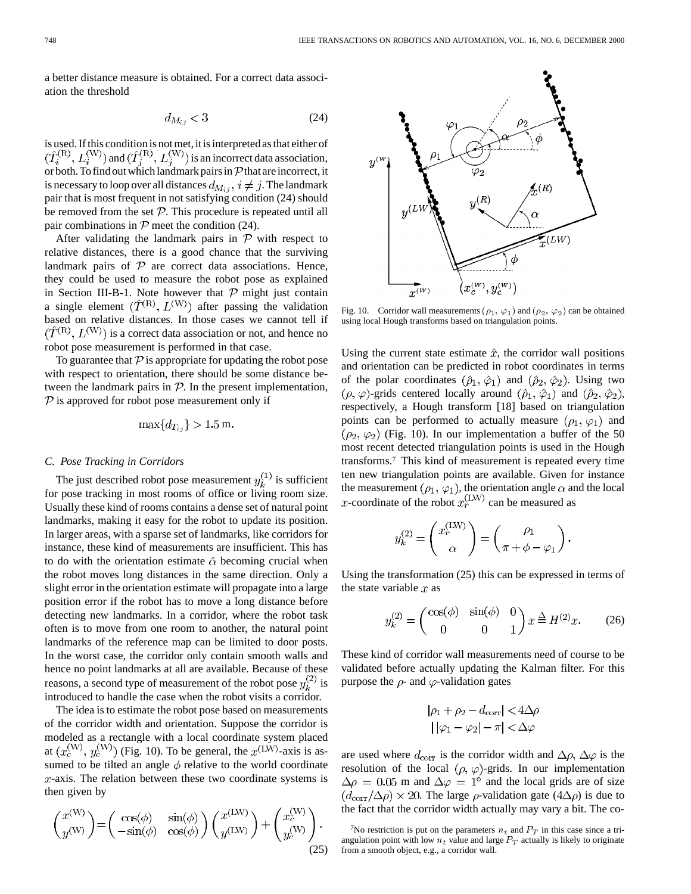a better distance measure is obtained. For a correct data association the threshold

$$
d_{M_{ij}} < 3\tag{24}
$$

is used. If this condition is not met, it is interpreted as that either of and  $(T_i^{(K)}, L_i^{(W)})$  is an incorrect data association, or both. To find out which landmark pairs in  $\mathcal P$  that are incorrect, it is necessary to loop over all distances  $d_{M_{ij}}$ ,  $i \neq j$ . The landmark pair that is most frequent in not satisfying condition (24) should be removed from the set  $P$ . This procedure is repeated until all pair combinations in  $P$  meet the condition (24).

After validating the landmark pairs in  $P$  with respect to relative distances, there is a good chance that the surviving landmark pairs of  $P$  are correct data associations. Hence, they could be used to measure the robot pose as explained in Section III-B-1. Note however that  $P$  might just contain a single element  $(\hat{T}^{(R)}, L^{(W)})$  after passing the validation based on relative distances. In those cases we cannot tell if  $(\hat{T}^{(R)}, L^{(W)})$  is a correct data association or not, and hence no robot pose measurement is performed in that case.

To guarantee that  $\mathcal P$  is appropriate for updating the robot pose with respect to orientation, there should be some distance between the landmark pairs in  $P$ . In the present implementation,  $P$  is approved for robot pose measurement only if

$$
\max\{d_{T_{i,j}}\} > 1.5 \text{ m}
$$

#### *C. Pose Tracking in Corridors*

The just described robot pose measurement  $y_k^{(1)}$  is sufficient for pose tracking in most rooms of office or living room size. Usually these kind of rooms contains a dense set of natural point landmarks, making it easy for the robot to update its position. In larger areas, with a sparse set of landmarks, like corridors for instance, these kind of measurements are insufficient. This has to do with the orientation estimate  $\hat{\alpha}$  becoming crucial when the robot moves long distances in the same direction. Only a slight error in the orientation estimate will propagate into a large position error if the robot has to move a long distance before detecting new landmarks. In a corridor, where the robot task often is to move from one room to another, the natural point landmarks of the reference map can be limited to door posts. In the worst case, the corridor only contain smooth walls and hence no point landmarks at all are available. Because of these reasons, a second type of measurement of the robot pose  $y_k^{(2)}$  is introduced to handle the case when the robot visits a corridor.

The idea is to estimate the robot pose based on measurements of the corridor width and orientation. Suppose the corridor is modeled as a rectangle with a local coordinate system placed at  $(x_c^{\text{(W)}}, y_c^{\text{(W)}})$  (Fig. 10). To be general, the  $x^{\text{(LW)}}$ -axis is assumed to be tilted an angle  $\phi$  relative to the world coordinate  $x$ -axis. The relation between these two coordinate systems is then given by

$$
\begin{pmatrix} x^{(\mathrm{W})} \\ y^{(\mathrm{W})} \end{pmatrix} = \begin{pmatrix} \cos(\phi) & \sin(\phi) \\ -\sin(\phi) & \cos(\phi) \end{pmatrix} \begin{pmatrix} x^{(\mathrm{LW})} \\ y^{(\mathrm{LW})} \end{pmatrix} + \begin{pmatrix} x_c^{(\mathrm{W})} \\ y_c^{(\mathrm{W})} \end{pmatrix} . \tag{25}
$$



Fig. 10. Corridor wall measurements  $(\rho_1, \varphi_1)$  and  $(\rho_2, \varphi_2)$  can be obtained using local Hough transforms based on triangulation points.

Using the current state estimate  $\hat{x}$ , the corridor wall positions and orientation can be predicted in robot coordinates in terms of the polar coordinates  $(\hat{\rho}_1, \hat{\varphi}_1)$  and  $(\hat{\rho}_2, \hat{\varphi}_2)$ . Using two  $(\rho, \varphi)$ -grids centered locally around  $(\hat{\rho}_1, \hat{\varphi}_1)$  and  $(\hat{\rho}_2, \hat{\varphi}_2)$ , respectively, a Hough transform [18] based on triangulation points can be performed to actually measure  $(\rho_1, \varphi_1)$  and  $(\rho_2, \varphi_2)$  (Fig. 10). In our implementation a buffer of the 50 most recent detected triangulation points is used in the Hough transforms.7 This kind of measurement is repeated every time ten new triangulation points are available. Given for instance the measurement  $(\rho_1, \varphi_1)$ , the orientation angle  $\alpha$  and the local -coordinate of the robot  $x_r^{(LW)}$  can be measured as

$$
y_k^{(2)} = \begin{pmatrix} x_r^{(\text{LW})} \\ \alpha \end{pmatrix} = \begin{pmatrix} \rho_1 \\ \pi + \phi - \varphi_1 \end{pmatrix}
$$

Using the transformation (25) this can be expressed in terms of the state variable  $x$  as

$$
y_k^{(2)} = \begin{pmatrix} \cos(\phi) & \sin(\phi) & 0\\ 0 & 0 & 1 \end{pmatrix} x \stackrel{\Delta}{=} H^{(2)}x.
$$
 (26)

These kind of corridor wall measurements need of course to be validated before actually updating the Kalman filter. For this purpose the  $\rho$ - and  $\varphi$ -validation gates

$$
|\rho_1 + \rho_2 - d_{\text{corr}}| < 4\Delta\rho
$$

$$
|\rho_1 - \varphi_2| - \pi| < \Delta\varphi
$$

are used where  $d_{\text{corr}}$  is the corridor width and  $\Delta \rho$ ,  $\Delta \varphi$  is the resolution of the local  $(\rho, \varphi)$ -grids. In our implementation  $\Delta \rho = 0.05$  m and  $\Delta \varphi = 1^{\circ}$  and the local grids are of size  $(d_{\text{corr}}/\Delta \rho) \times 20$ . The large  $\rho$ -validation gate  $(4\Delta \rho)$  is due to the fact that the corridor width actually may vary a bit. The co-

<sup>&</sup>lt;sup>7</sup>No restriction is put on the parameters  $n_t$  and  $P_T$  in this case since a triangulation point with low  $n_t$  value and large  $P_T$  actually is likely to originate from a smooth object, e.g., a corridor wall.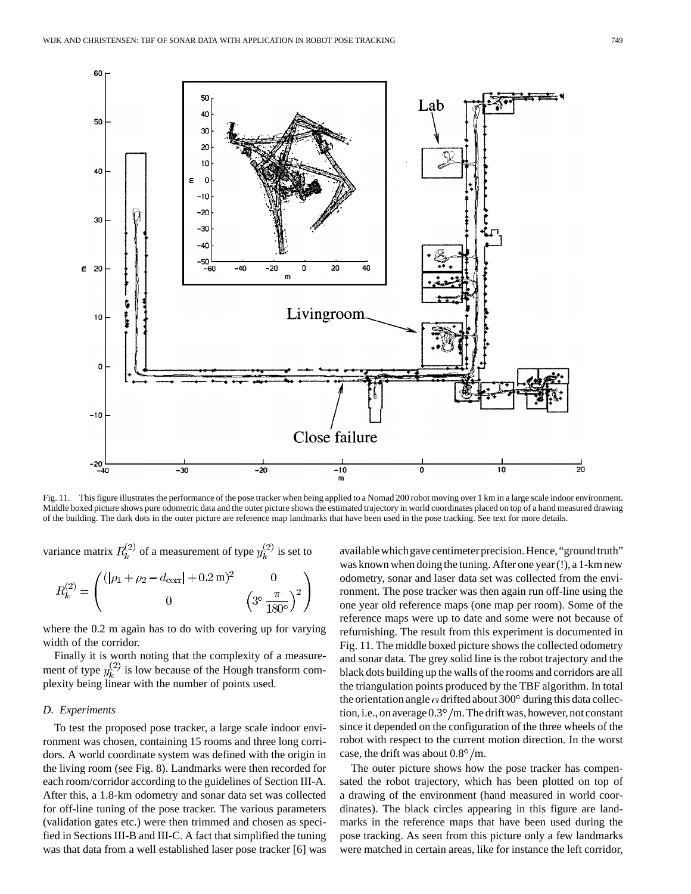

Fig. 11. This figure illustrates the performance of the pose tracker when being applied to a Nomad 200 robot moving over 1 km in a large scale indoor environment. Middle boxed picture shows pure odometric data and the outer picture shows the estimated trajectory in world coordinates placed on top of a hand measured drawing of the building. The dark dots in the outer picture are reference map landmarks that have been used in the pose tracking. See text for more details.

variance matrix  $R_k^{(2)}$  of a measurement of type  $y_k^{(2)}$  is set to

$$
R_k^{(2)} = \begin{pmatrix} (|\rho_1 + \rho_2 - d_{\text{corr}}| + 0.2 \,\text{m})^2 & 0\\ 0 & \left(3^\circ \frac{\pi}{180^\circ}\right)^2 \end{pmatrix}
$$

where the 0.2 m again has to do with covering up for varying width of the corridor.

Finally it is worth noting that the complexity of a measurement of type  $y_k^{(2)}$  is low because of the Hough transform complexity being linear with the number of points used.

### *D. Experiments*

To test the proposed pose tracker, a large scale indoor environment was chosen, containing 15 rooms and three long corridors. A world coordinate system was defined with the origin in the living room (see Fig. 8). Landmarks were then recorded for each room/corridor according to the guidelines of Section III-A. After this, a 1.8-km odometry and sonar data set was collected for off-line tuning of the pose tracker. The various parameters (validation gates etc.) were then trimmed and chosen as specified in Sections III-B and III-C. A fact that simplified the tuning was that data from a well established laser pose tracker [6] was

available which gave centimeter precision. Hence, "ground truth" was known when doing the tuning. After one year (!), a 1-km new odometry, sonar and laser data set was collected from the environment. The pose tracker was then again run off-line using the one year old reference maps (one map per room). Some of the reference maps were up to date and some were not because of refurnishing. The result from this experiment is documented in Fig. 11. The middle boxed picture shows the collected odometry and sonar data. The grey solid line is the robot trajectory and the black dots building up the walls of the rooms and corridors are all the triangulation points produced by the TBF algorithm. In total the orientation angle  $\alpha$  drifted about 300° during this data collection, i.e., on average  $0.3^{\circ}/\text{m}$ . The drift was, however, not constant since it depended on the configuration of the three wheels of the robot with respect to the current motion direction. In the worst case, the drift was about  $0.8^{\circ}/\text{m}$ .

The outer picture shows how the pose tracker has compensated the robot trajectory, which has been plotted on top of a drawing of the environment (hand measured in world coordinates). The black circles appearing in this figure are landmarks in the reference maps that have been used during the pose tracking. As seen from this picture only a few landmarks were matched in certain areas, like for instance the left corridor,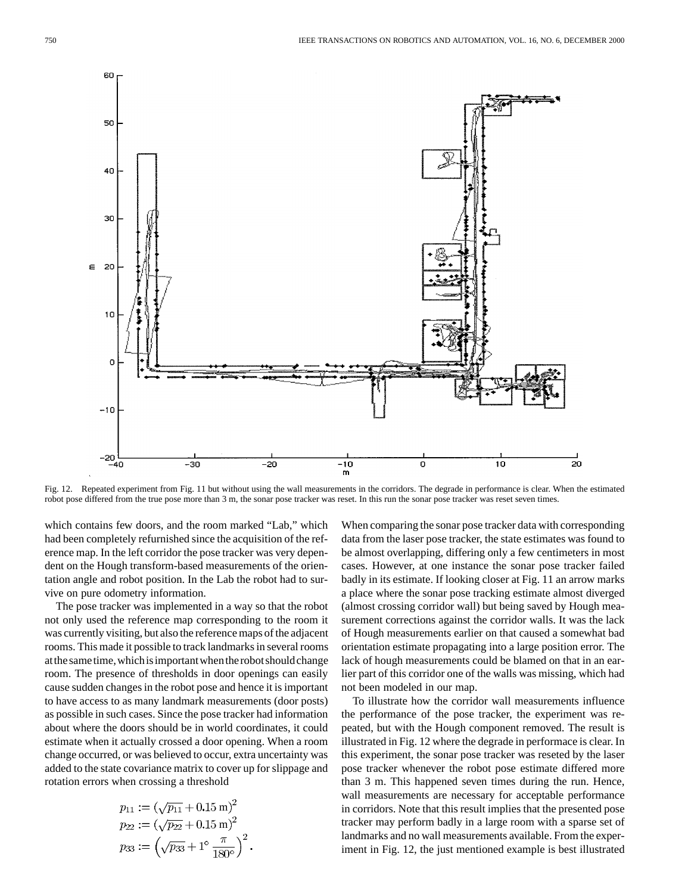

Fig. 12. Repeated experiment from Fig. 11 but without using the wall measurements in the corridors. The degrade in performance is clear. When the estimated robot pose differed from the true pose more than 3 m, the sonar pose tracker was reset. In this run the sonar pose tracker was reset seven times.

which contains few doors, and the room marked "Lab," which had been completely refurnished since the acquisition of the reference map. In the left corridor the pose tracker was very dependent on the Hough transform-based measurements of the orientation angle and robot position. In the Lab the robot had to survive on pure odometry information.

The pose tracker was implemented in a way so that the robot not only used the reference map corresponding to the room it was currently visiting, but also the reference maps of the adjacent rooms. This made it possible to track landmarks in several rooms atthesametime,whichisimportantwhentherobotshouldchange room. The presence of thresholds in door openings can easily cause sudden changes in the robot pose and hence it is important to have access to as many landmark measurements (door posts) as possible in such cases. Since the pose tracker had information about where the doors should be in world coordinates, it could estimate when it actually crossed a door opening. When a room change occurred, or was believed to occur, extra uncertainty was added to the state covariance matrix to cover up for slippage and rotation errors when crossing a threshold

$$
p_{11} := (\sqrt{p_{11}} + 0.15 \text{ m})^2
$$
  
\n
$$
p_{22} := (\sqrt{p_{22}} + 0.15 \text{ m})^2
$$
  
\n
$$
p_{33} := (\sqrt{p_{33}} + 1^\circ \frac{\pi}{180^\circ})^2
$$
.

When comparing the sonar pose tracker data with corresponding data from the laser pose tracker, the state estimates was found to be almost overlapping, differing only a few centimeters in most cases. However, at one instance the sonar pose tracker failed badly in its estimate. If looking closer at Fig. 11 an arrow marks a place where the sonar pose tracking estimate almost diverged (almost crossing corridor wall) but being saved by Hough measurement corrections against the corridor walls. It was the lack of Hough measurements earlier on that caused a somewhat bad orientation estimate propagating into a large position error. The lack of hough measurements could be blamed on that in an earlier part of this corridor one of the walls was missing, which had not been modeled in our map.

To illustrate how the corridor wall measurements influence the performance of the pose tracker, the experiment was repeated, but with the Hough component removed. The result is illustrated in Fig. 12 where the degrade in performace is clear. In this experiment, the sonar pose tracker was reseted by the laser pose tracker whenever the robot pose estimate differed more than 3 m. This happened seven times during the run. Hence, wall measurements are necessary for acceptable performance in corridors. Note that this result implies that the presented pose tracker may perform badly in a large room with a sparse set of landmarks and no wall measurements available. From the experiment in Fig. 12, the just mentioned example is best illustrated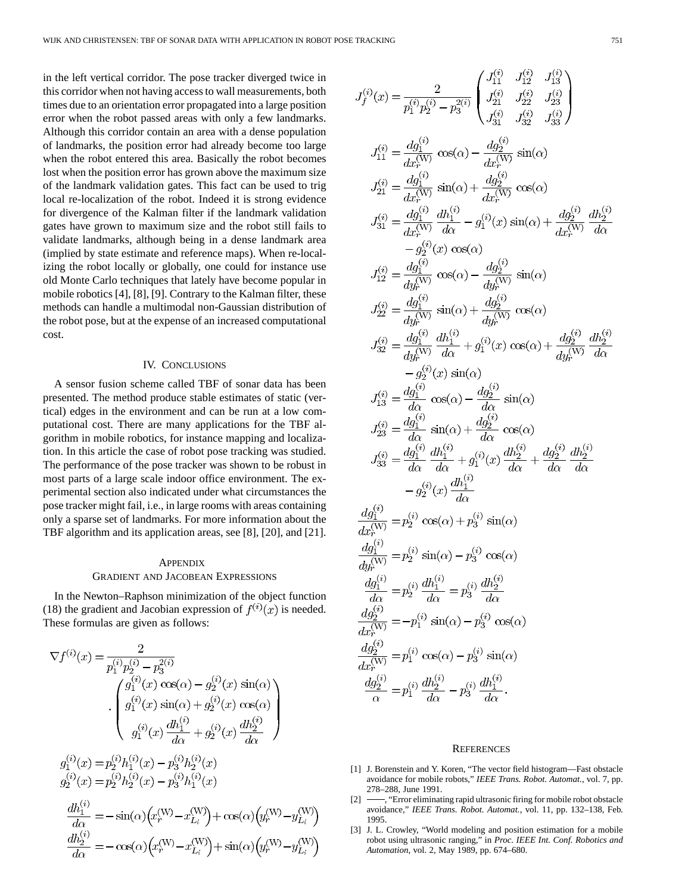in the left vertical corridor. The pose tracker diverged twice in this corridor when not having access to wall measurements, both times due to an orientation error propagated into a large position error when the robot passed areas with only a few landmarks. Although this corridor contain an area with a dense population of landmarks, the position error had already become too large when the robot entered this area. Basically the robot becomes lost when the position error has grown above the maximum size of the landmark validation gates. This fact can be used to trig local re-localization of the robot. Indeed it is strong evidence for divergence of the Kalman filter if the landmark validation gates have grown to maximum size and the robot still fails to validate landmarks, although being in a dense landmark area (implied by state estimate and reference maps). When re-localizing the robot locally or globally, one could for instance use old Monte Carlo techniques that lately have become popular in mobile robotics [4], [8], [9]. Contrary to the Kalman filter, these methods can handle a multimodal non-Gaussian distribution of the robot pose, but at the expense of an increased computational cost.

#### IV. CONCLUSIONS

A sensor fusion scheme called TBF of sonar data has been presented. The method produce stable estimates of static (vertical) edges in the environment and can be run at a low computational cost. There are many applications for the TBF algorithm in mobile robotics, for instance mapping and localization. In this article the case of robot pose tracking was studied. The performance of the pose tracker was shown to be robust in most parts of a large scale indoor office environment. The experimental section also indicated under what circumstances the pose tracker might fail, i.e., in large rooms with areas containing only a sparse set of landmarks. For more information about the TBF algorithm and its application areas, see [8], [20], and [21].

## **APPENDIX** GRADIENT AND JACOBEAN EXPRESSIONS

In the Newton–Raphson minimization of the object function (18) the gradient and Jacobian expression of  $f^{(i)}(x)$  is needed. These formulas are given as follows:

$$
\nabla f^{(i)}(x) = \frac{2}{p_1^{(i)}p_2^{(i)} - p_3^{2(i)}}
$$
  
\n
$$
\int \frac{g_1^{(i)}(x) \cos(\alpha) - g_2^{(i)}(x) \sin(\alpha)}{g_1^{(i)}(x) \sin(\alpha) + g_2^{(i)}(x) \cos(\alpha)}
$$
  
\n
$$
\int \frac{g_1^{(i)}(x) \sin(\alpha) + g_2^{(i)}(x) \cos(\alpha)}{g_1^{(i)}(x) - g_3^{(i)}h_2^{(i)}(x)}
$$
  
\n
$$
g_2^{(i)}(x) = p_2^{(i)}h_1^{(i)}(x) - p_3^{(i)}h_2^{(i)}(x)
$$
  
\n
$$
g_2^{(i)}(x) = p_2^{(i)}h_2^{(i)}(x) - p_3^{(i)}h_1^{(i)}(x)
$$
  
\n
$$
\frac{dh_1^{(i)}}{d\alpha} = -\sin(\alpha)\left(x_r^{(W)} - x_{L_i}^{(W)}\right) + \cos(\alpha)\left(y_r^{(W)} - y_{L_i}^{(W)}\right)
$$
  
\n
$$
\frac{dh_2^{(i)}}{d\alpha} = -\cos(\alpha)\left(x_r^{(W)} - x_{L_i}^{(W)}\right) + \sin(\alpha)\left(y_r^{(W)} - y_{L_i}^{(W)}\right)
$$

$$
J_{f}^{(i)}(x) = \frac{2}{p_{1}^{(i)}p_{2}^{(i)} - p_{3}^{2(i)}} \begin{pmatrix} J_{11}^{(i)} & J_{12}^{(i)} & J_{13}^{(i)} \\ J_{21}^{(i)} & J_{22}^{(i)} & J_{23}^{(i)} \\ J_{31}^{(i)} & J_{32}^{(i)} & J_{33}^{(i)} \end{pmatrix}
$$
  
\n
$$
J_{11}^{(i)} = \frac{dg_{1}^{(i)}}{dx_{1}^{(W)}} \cos(\alpha) - \frac{dg_{2}^{(i)}}{dx_{1}^{(W)}} \sin(\alpha)
$$
  
\n
$$
J_{21}^{(i)} = \frac{dg_{1}^{(i)}}{dx_{1}^{(W)}} \sin(\alpha) + \frac{dg_{2}^{(i)}}{dx_{1}^{(W)}} \cos(\alpha)
$$
  
\n
$$
J_{31}^{(i)} = \frac{dg_{1}^{(i)}}{dx_{1}^{(W)}} \frac{dh_{1}^{(i)}}{dx} - g_{1}^{(i)}(x) \sin(\alpha) + \frac{dg_{2}^{(i)}}{dx_{1}^{(W)}} \frac{dh_{2}^{(i)}}{dx} - g_{2}^{(i)}(x) \cos(\alpha)
$$
  
\n
$$
J_{12}^{(i)} = \frac{dg_{1}^{(i)}}{dx_{1}^{(W)}} \cos(\alpha) - \frac{dg_{2}^{(i)}}{dy_{1}^{(W)}} \sin(\alpha)
$$
  
\n
$$
J_{22}^{(i)} = \frac{dg_{1}^{(i)}}{dy_{1}^{(W)}} \sin(\alpha) + \frac{dg_{2}^{(i)}}{dy_{1}^{(W)}} \sin(\alpha)
$$
  
\n
$$
J_{32}^{(i)} = \frac{dg_{1}^{(i)}}{dy_{1}^{(W)}} \frac{dh_{1}^{(i)}}{dx} + g_{1}^{(i)}(x) \cos(\alpha) + \frac{dg_{2}^{(i)}}{dy_{1}^{(W)}} \frac{dh_{2}^{(i)}}{dx} - g_{2}^{(i)}(x) \sin(\alpha)
$$
  
\n
$$
J_{13}^{(i)} = \frac{dg_{1}^{(i)}}{dx} \cos(\alpha) - \frac{dg_{2}^{(i)}}{dx} \sin(\alpha)
$$
  
\n
$$
J_{23}^{(i)}
$$

 $\sqrt{2}$ 

 $\sqrt{2}$ 

 $\sim$ 

#### **REFERENCES**

- [1] J. Borenstein and Y. Koren, "The vector field histogram—Fast obstacle avoidance for mobile robots," *IEEE Trans. Robot. Automat.*, vol. 7, pp. 278–288, June 1991.
- [2]  $\rightarrow$  "Error eliminating rapid ultrasonic firing for mobile robot obstacle avoidance," *IEEE Trans. Robot. Automat.*, vol. 11, pp. 132–138, Feb. 1995.
- [3] J. L. Crowley, "World modeling and position estimation for a mobile robot using ultrasonic ranging," in *Proc. IEEE Int. Conf. Robotics and Automation*, vol. 2, May 1989, pp. 674–680.